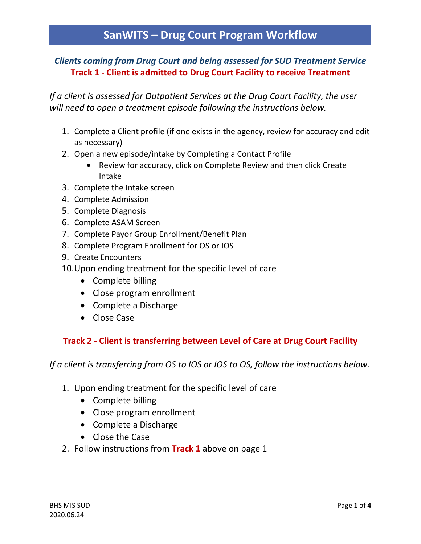## *Clients coming from Drug Court and being assessed for SUD Treatment Service* **Track 1 - Client is admitted to Drug Court Facility to receive Treatment**

*If a client is assessed for Outpatient Services at the Drug Court Facility, the user will need to open a treatment episode following the instructions below.*

- 1. Complete a Client profile (if one exists in the agency, review for accuracy and edit as necessary)
- 2. Open a new episode/intake by Completing a Contact Profile
	- Review for accuracy, click on Complete Review and then click Create Intake
- 3. Complete the Intake screen
- 4. Complete Admission
- 5. Complete Diagnosis
- 6. Complete ASAM Screen
- 7. Complete Payor Group Enrollment/Benefit Plan
- 8. Complete Program Enrollment for OS or IOS
- 9. Create Encounters
- 10.Upon ending treatment for the specific level of care
	- Complete billing
	- Close program enrollment
	- Complete a Discharge
	- Close Case

## **Track 2 - Client is transferring between Level of Care at Drug Court Facility**

*If a client is transferring from OS to IOS or IOS to OS, follow the instructions below.*

- 1. Upon ending treatment for the specific level of care
	- Complete billing
	- Close program enrollment
	- Complete a Discharge
	- Close the Case
- 2. Follow instructions from **Track 1** above on page 1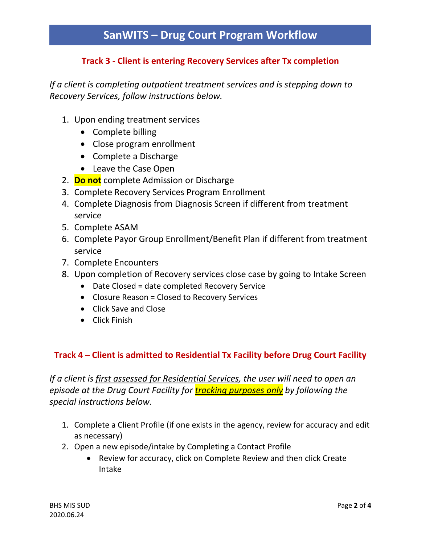## **Track 3 - Client is entering Recovery Services after Tx completion**

*If a client is completing outpatient treatment services and is stepping down to Recovery Services, follow instructions below.*

- 1. Upon ending treatment services
	- Complete billing
	- Close program enrollment
	- Complete a Discharge
	- Leave the Case Open
- 2. **Do not** complete Admission or Discharge
- 3. Complete Recovery Services Program Enrollment
- 4. Complete Diagnosis from Diagnosis Screen if different from treatment service
- 5. Complete ASAM
- 6. Complete Payor Group Enrollment/Benefit Plan if different from treatment service
- 7. Complete Encounters
- 8. Upon completion of Recovery services close case by going to Intake Screen
	- Date Closed = date completed Recovery Service
	- Closure Reason = Closed to Recovery Services
	- Click Save and Close
	- Click Finish

### **Track 4 – Client is admitted to Residential Tx Facility before Drug Court Facility**

*If a client is first assessed for Residential Services, the user will need to open an episode at the Drug Court Facility for tracking purposes only by following the special instructions below.*

- 1. Complete a Client Profile (if one exists in the agency, review for accuracy and edit as necessary)
- 2. Open a new episode/intake by Completing a Contact Profile
	- Review for accuracy, click on Complete Review and then click Create Intake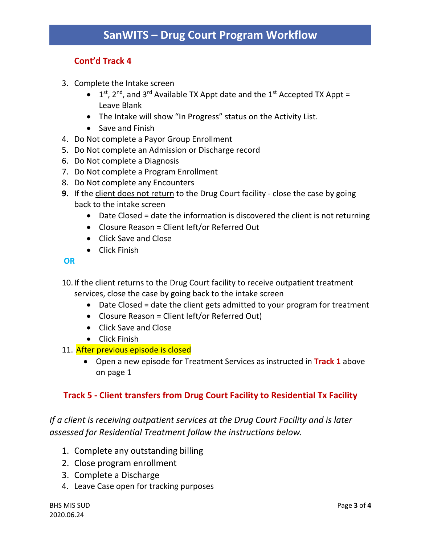### **Cont'd Track 4**

- 3. Complete the Intake screen
	- $\bullet$  1<sup>st</sup>, 2<sup>nd</sup>, and 3<sup>rd</sup> Available TX Appt date and the 1<sup>st</sup> Accepted TX Appt = Leave Blank
	- The Intake will show "In Progress" status on the Activity List.
	- Save and Finish
- 4. Do Not complete a Payor Group Enrollment
- 5. Do Not complete an Admission or Discharge record
- 6. Do Not complete a Diagnosis
- 7. Do Not complete a Program Enrollment
- 8. Do Not complete any Encounters
- **9.** If the client does not return to the Drug Court facility close the case by going back to the intake screen
	- Date Closed = date the information is discovered the client is not returning
	- Closure Reason = Client left/or Referred Out
	- Click Save and Close
	- Click Finish

#### **OR**

10.If the client returns to the Drug Court facility to receive outpatient treatment services, close the case by going back to the intake screen

- Date Closed = date the client gets admitted to your program for treatment
- Closure Reason = Client left/or Referred Out)
- Click Save and Close
- Click Finish
- 11. After previous episode is closed
	- Open a new episode for Treatment Services as instructed in **Track 1** above on page 1

### **Track 5 - Client transfers from Drug Court Facility to Residential Tx Facility**

*If a client is receiving outpatient services at the Drug Court Facility and is later assessed for Residential Treatment follow the instructions below.*

- 1. Complete any outstanding billing
- 2. Close program enrollment
- 3. Complete a Discharge
- 4. Leave Case open for tracking purposes